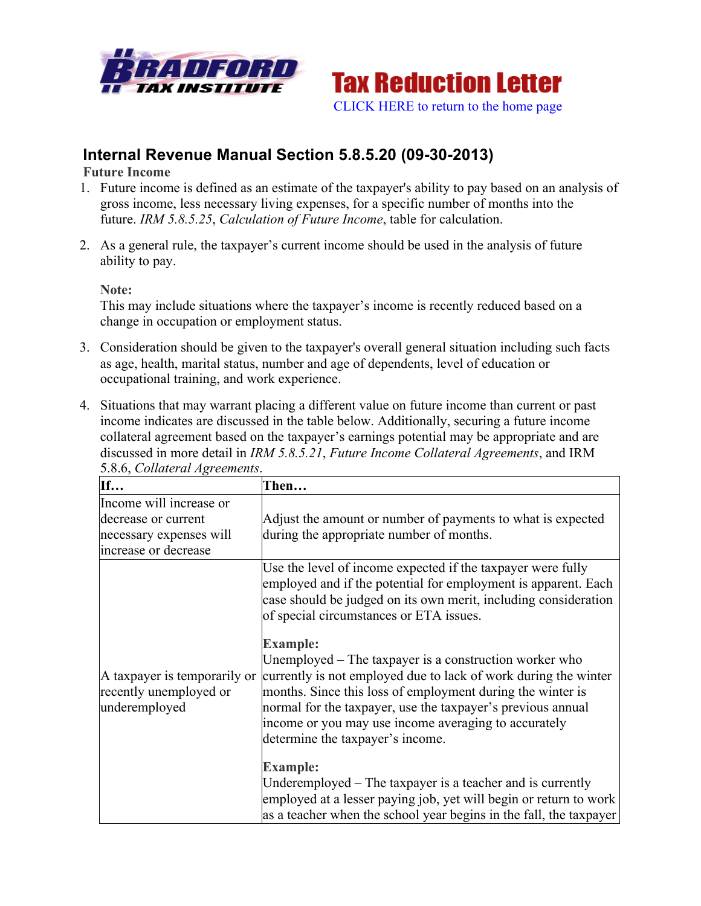



# **Internal Revenue Manual Section 5.8.5.20 (09-30-2013)**

**Future Income**

- 1. Future income is defined as an estimate of the taxpayer's ability to pay based on an analysis of gross income, less necessary living expenses, for a specific number of months into the future. *IRM 5.8.5.25*, *Calculation of Future Income*, table for calculation.
- 2. As a general rule, the taxpayer's current income should be used in the analysis of future ability to pay.

**Note:**

This may include situations where the taxpayer's income is recently reduced based on a change in occupation or employment status.

- 3. Consideration should be given to the taxpayer's overall general situation including such facts as age, health, marital status, number and age of dependents, level of education or occupational training, and work experience.
- 4. Situations that may warrant placing a different value on future income than current or past income indicates are discussed in the table below. Additionally, securing a future income collateral agreement based on the taxpayer's earnings potential may be appropriate and are discussed in more detail in *IRM 5.8.5.21*, *Future Income Collateral Agreements*, and IRM 5.8.6, *Collateral Agreements*.

| If                                                                      | Then                                                                                                                                                                                                                                                                                                                                                                  |
|-------------------------------------------------------------------------|-----------------------------------------------------------------------------------------------------------------------------------------------------------------------------------------------------------------------------------------------------------------------------------------------------------------------------------------------------------------------|
| Income will increase or                                                 |                                                                                                                                                                                                                                                                                                                                                                       |
| decrease or current                                                     | Adjust the amount or number of payments to what is expected                                                                                                                                                                                                                                                                                                           |
| necessary expenses will                                                 | during the appropriate number of months.                                                                                                                                                                                                                                                                                                                              |
| increase or decrease                                                    |                                                                                                                                                                                                                                                                                                                                                                       |
| A taxpayer is temporarily or<br>recently unemployed or<br>underemployed | Use the level of income expected if the taxpayer were fully<br>employed and if the potential for employment is apparent. Each<br>case should be judged on its own merit, including consideration<br>of special circumstances or ETA issues.                                                                                                                           |
|                                                                         | <b>Example:</b><br>Unemployed – The taxpayer is a construction worker who<br>currently is not employed due to lack of work during the winter<br>months. Since this loss of employment during the winter is<br>normal for the taxpayer, use the taxpayer's previous annual<br>income or you may use income averaging to accurately<br>determine the taxpayer's income. |
|                                                                         | <b>Example:</b><br>Underemployed – The taxpayer is a teacher and is currently<br>employed at a lesser paying job, yet will begin or return to work<br>as a teacher when the school year begins in the fall, the taxpayer                                                                                                                                              |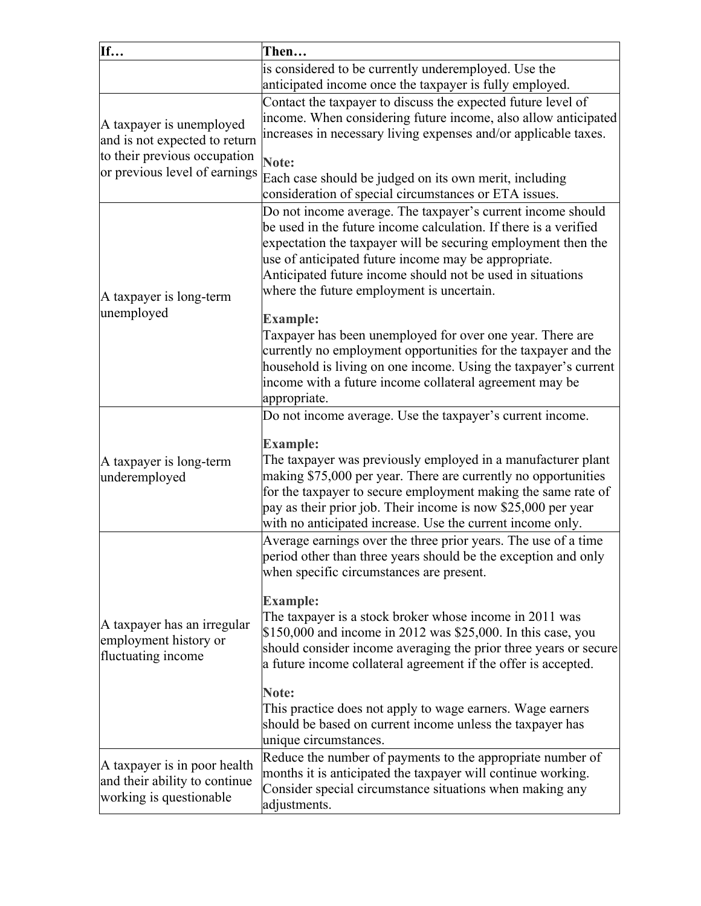| If                                                            | Then                                                                                                                           |
|---------------------------------------------------------------|--------------------------------------------------------------------------------------------------------------------------------|
|                                                               | is considered to be currently underemployed. Use the                                                                           |
|                                                               | anticipated income once the taxpayer is fully employed.                                                                        |
|                                                               | Contact the taxpayer to discuss the expected future level of                                                                   |
| A taxpayer is unemployed                                      | income. When considering future income, also allow anticipated                                                                 |
| and is not expected to return                                 | increases in necessary living expenses and/or applicable taxes.                                                                |
| to their previous occupation<br>or previous level of earnings | Note:                                                                                                                          |
|                                                               | Each case should be judged on its own merit, including                                                                         |
|                                                               | consideration of special circumstances or ETA issues.                                                                          |
|                                                               | Do not income average. The taxpayer's current income should                                                                    |
|                                                               | be used in the future income calculation. If there is a verified                                                               |
|                                                               | expectation the taxpayer will be securing employment then the                                                                  |
|                                                               | use of anticipated future income may be appropriate.<br>Anticipated future income should not be used in situations             |
|                                                               | where the future employment is uncertain.                                                                                      |
| A taxpayer is long-term                                       |                                                                                                                                |
| unemployed                                                    | <b>Example:</b>                                                                                                                |
|                                                               | Taxpayer has been unemployed for over one year. There are                                                                      |
|                                                               | currently no employment opportunities for the taxpayer and the                                                                 |
|                                                               | household is living on one income. Using the taxpayer's current<br>income with a future income collateral agreement may be     |
|                                                               | appropriate.                                                                                                                   |
| A taxpayer is long-term<br>underemployed                      | Do not income average. Use the taxpayer's current income.                                                                      |
|                                                               |                                                                                                                                |
|                                                               | <b>Example:</b>                                                                                                                |
|                                                               | The taxpayer was previously employed in a manufacturer plant<br>making \$75,000 per year. There are currently no opportunities |
|                                                               | for the taxpayer to secure employment making the same rate of                                                                  |
|                                                               | pay as their prior job. Their income is now \$25,000 per year                                                                  |
|                                                               | with no anticipated increase. Use the current income only.                                                                     |
|                                                               | Average earnings over the three prior years. The use of a time                                                                 |
|                                                               | period other than three years should be the exception and only                                                                 |
|                                                               | when specific circumstances are present.                                                                                       |
|                                                               | <b>Example:</b>                                                                                                                |
| A taxpayer has an irregular                                   | The taxpayer is a stock broker whose income in 2011 was                                                                        |
| employment history or                                         | \$150,000 and income in 2012 was \$25,000. In this case, you                                                                   |
| fluctuating income                                            | should consider income averaging the prior three years or secure                                                               |
|                                                               | a future income collateral agreement if the offer is accepted.                                                                 |
|                                                               | Note:                                                                                                                          |
|                                                               | This practice does not apply to wage earners. Wage earners                                                                     |
|                                                               | should be based on current income unless the taxpayer has                                                                      |
|                                                               | unique circumstances.                                                                                                          |
| A taxpayer is in poor health                                  | Reduce the number of payments to the appropriate number of<br>months it is anticipated the taxpayer will continue working.     |
| and their ability to continue                                 | Consider special circumstance situations when making any                                                                       |
| working is questionable                                       | adjustments.                                                                                                                   |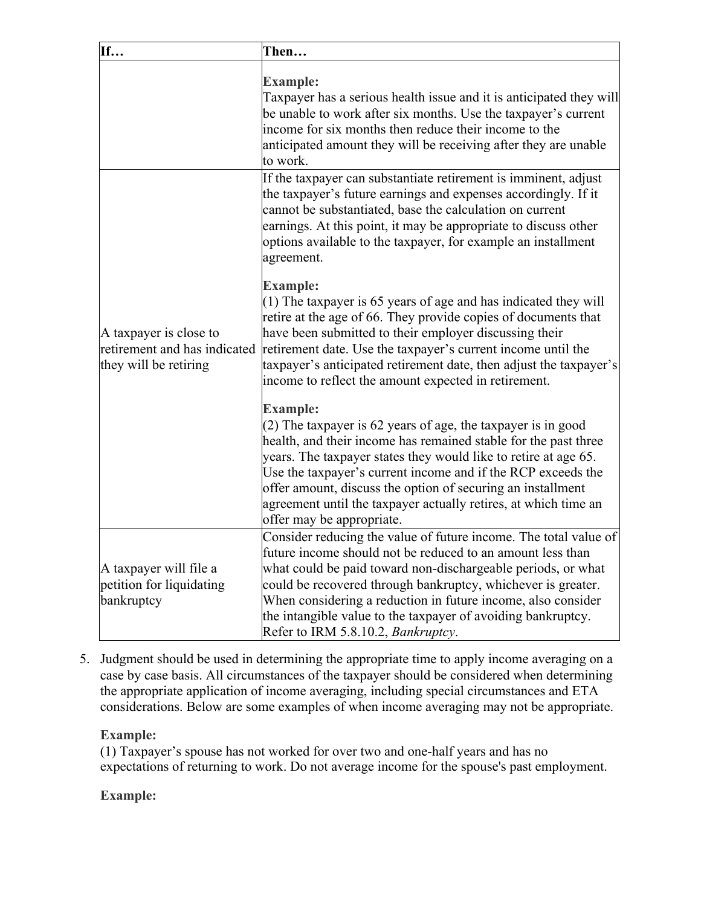| If                                                                              | Then                                                                                                                                                                                                                                                                                                                                                                                                                                                 |
|---------------------------------------------------------------------------------|------------------------------------------------------------------------------------------------------------------------------------------------------------------------------------------------------------------------------------------------------------------------------------------------------------------------------------------------------------------------------------------------------------------------------------------------------|
|                                                                                 | <b>Example:</b><br>Taxpayer has a serious health issue and it is anticipated they will<br>be unable to work after six months. Use the taxpayer's current<br>income for six months then reduce their income to the<br>anticipated amount they will be receiving after they are unable<br>to work.                                                                                                                                                     |
| A taxpayer is close to<br>retirement and has indicated<br>they will be retiring | If the taxpayer can substantiate retirement is imminent, adjust<br>the taxpayer's future earnings and expenses accordingly. If it<br>cannot be substantiated, base the calculation on current<br>earnings. At this point, it may be appropriate to discuss other<br>options available to the taxpayer, for example an installment<br>agreement.                                                                                                      |
|                                                                                 | <b>Example:</b><br>$(1)$ The taxpayer is 65 years of age and has indicated they will<br>retire at the age of 66. They provide copies of documents that<br>have been submitted to their employer discussing their<br>retirement date. Use the taxpayer's current income until the<br>taxpayer's anticipated retirement date, then adjust the taxpayer's<br>income to reflect the amount expected in retirement.                                       |
|                                                                                 | <b>Example:</b><br>(2) The taxpayer is 62 years of age, the taxpayer is in good<br>health, and their income has remained stable for the past three<br>years. The taxpayer states they would like to retire at age 65.<br>Use the taxpayer's current income and if the RCP exceeds the<br>offer amount, discuss the option of securing an installment<br>agreement until the taxpayer actually retires, at which time an<br>offer may be appropriate. |
| A taxpayer will file a<br>petition for liquidating<br>bankruptcy                | Consider reducing the value of future income. The total value of<br>future income should not be reduced to an amount less than<br>what could be paid toward non-dischargeable periods, or what<br>could be recovered through bankruptcy, whichever is greater.<br>When considering a reduction in future income, also consider<br>the intangible value to the taxpayer of avoiding bankruptcy.<br>Refer to IRM 5.8.10.2, Bankruptcy.                 |

5. Judgment should be used in determining the appropriate time to apply income averaging on a case by case basis. All circumstances of the taxpayer should be considered when determining the appropriate application of income averaging, including special circumstances and ETA considerations. Below are some examples of when income averaging may not be appropriate.

# **Example:**

(1) Taxpayer's spouse has not worked for over two and one-half years and has no expectations of returning to work. Do not average income for the spouse's past employment.

# **Example:**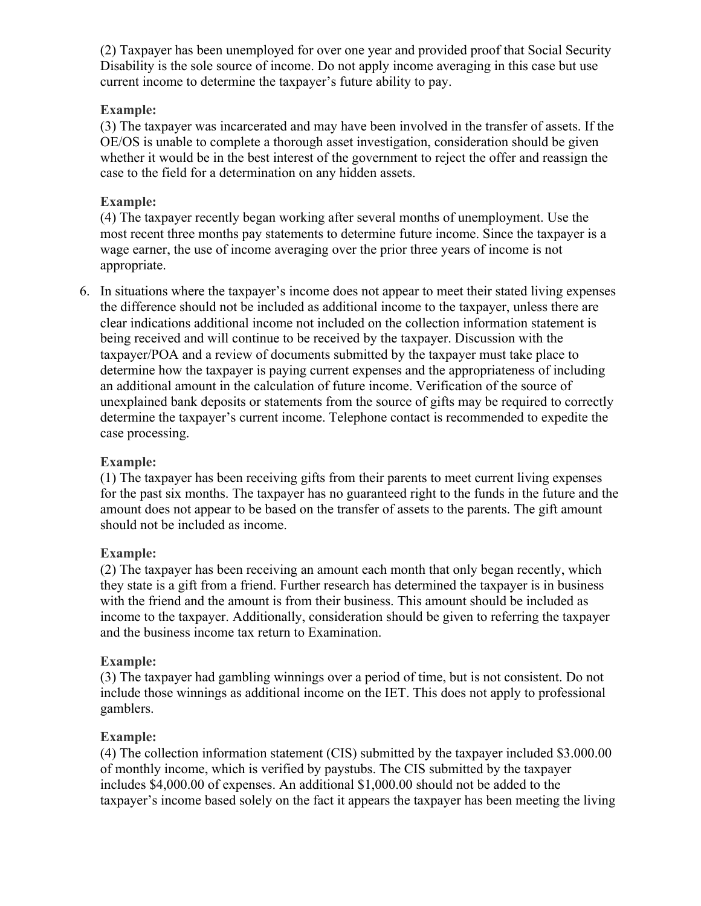(2) Taxpayer has been unemployed for over one year and provided proof that Social Security Disability is the sole source of income. Do not apply income averaging in this case but use current income to determine the taxpayer's future ability to pay.

### **Example:**

(3) The taxpayer was incarcerated and may have been involved in the transfer of assets. If the OE/OS is unable to complete a thorough asset investigation, consideration should be given whether it would be in the best interest of the government to reject the offer and reassign the case to the field for a determination on any hidden assets.

#### **Example:**

(4) The taxpayer recently began working after several months of unemployment. Use the most recent three months pay statements to determine future income. Since the taxpayer is a wage earner, the use of income averaging over the prior three years of income is not appropriate.

6. In situations where the taxpayer's income does not appear to meet their stated living expenses the difference should not be included as additional income to the taxpayer, unless there are clear indications additional income not included on the collection information statement is being received and will continue to be received by the taxpayer. Discussion with the taxpayer/POA and a review of documents submitted by the taxpayer must take place to determine how the taxpayer is paying current expenses and the appropriateness of including an additional amount in the calculation of future income. Verification of the source of unexplained bank deposits or statements from the source of gifts may be required to correctly determine the taxpayer's current income. Telephone contact is recommended to expedite the case processing.

# **Example:**

(1) The taxpayer has been receiving gifts from their parents to meet current living expenses for the past six months. The taxpayer has no guaranteed right to the funds in the future and the amount does not appear to be based on the transfer of assets to the parents. The gift amount should not be included as income.

#### **Example:**

(2) The taxpayer has been receiving an amount each month that only began recently, which they state is a gift from a friend. Further research has determined the taxpayer is in business with the friend and the amount is from their business. This amount should be included as income to the taxpayer. Additionally, consideration should be given to referring the taxpayer and the business income tax return to Examination.

#### **Example:**

(3) The taxpayer had gambling winnings over a period of time, but is not consistent. Do not include those winnings as additional income on the IET. This does not apply to professional gamblers.

#### **Example:**

(4) The collection information statement (CIS) submitted by the taxpayer included \$3.000.00 of monthly income, which is verified by paystubs. The CIS submitted by the taxpayer includes \$4,000.00 of expenses. An additional \$1,000.00 should not be added to the taxpayer's income based solely on the fact it appears the taxpayer has been meeting the living